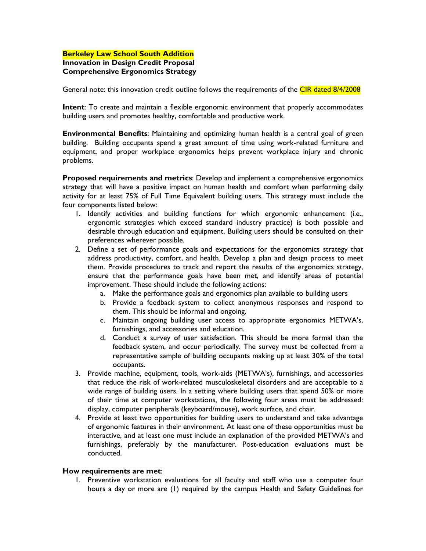## **Berkeley Law School South Addition Innovation in Design Credit Proposal Comprehensive Ergonomics Strategy**

General note: this innovation credit outline follows the requirements of the CIR dated 8/4/2008

**Intent**: To create and maintain a flexible ergonomic environment that properly accommodates building users and promotes healthy, comfortable and productive work.

**Environmental Benefits**: Maintaining and optimizing human health is a central goal of green building. Building occupants spend a great amount of time using work-related furniture and equipment, and proper workplace ergonomics helps prevent workplace injury and chronic problems.

**Proposed requirements and metrics**: Develop and implement a comprehensive ergonomics strategy that will have a positive impact on human health and comfort when performing daily activity for at least 75% of Full Time Equivalent building users. This strategy must include the four components listed below:

- 1. Identify activities and building functions for which ergonomic enhancement (i.e., ergonomic strategies which exceed standard industry practice) is both possible and desirable through education and equipment. Building users should be consulted on their preferences wherever possible.
- 2. Define a set of performance goals and expectations for the ergonomics strategy that address productivity, comfort, and health. Develop a plan and design process to meet them. Provide procedures to track and report the results of the ergonomics strategy, ensure that the performance goals have been met, and identify areas of potential improvement. These should include the following actions:
	- a. Make the performance goals and ergonomics plan available to building users
	- b. Provide a feedback system to collect anonymous responses and respond to them. This should be informal and ongoing.
	- c. Maintain ongoing building user access to appropriate ergonomics METWA's, furnishings, and accessories and education.
	- d. Conduct a survey of user satisfaction. This should be more formal than the feedback system, and occur periodically. The survey must be collected from a representative sample of building occupants making up at least 30% of the total occupants.
- 3. Provide machine, equipment, tools, work-aids (METWA's), furnishings, and accessories that reduce the risk of work-related musculoskeletal disorders and are acceptable to a wide range of building users. In a setting where building users that spend 50% or more of their time at computer workstations, the following four areas must be addressed: display, computer peripherals (keyboard/mouse), work surface, and chair.
- 4. Provide at least two opportunities for building users to understand and take advantage of ergonomic features in their environment. At least one of these opportunities must be interactive, and at least one must include an explanation of the provided METWA's and furnishings, preferably by the manufacturer. Post-education evaluations must be conducted.

## **How requirements are met**:

1. Preventive workstation evaluations for all faculty and staff who use a computer four hours a day or more are (1) required by the campus Health and Safety Guidelines for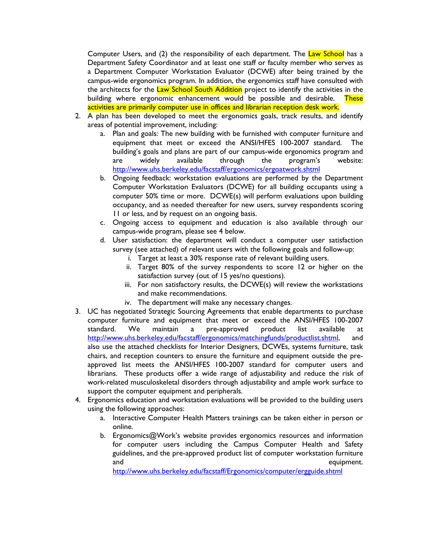Computer Users, and (2) the responsibility of each department. The Law School has a Department Safety Coordinator and at least one staff or faculty member who serves as a Department Computer Workstation Evaluator (DCWE) after being trained by the campus-wide ergonomics program. In addition, the ergonomics staff have consulted with the architects for the Law School South Addition project to identify the activities in the building where ergonomic enhancement would be possible and desirable. These activities are primarily computer use in offices and librarian reception desk work.

- 2. A plan has been developed to meet the ergonomics goals, track results, and identify areas of potential improvement, including:
	- a. Plan and goals: The new building with be furnished with computer furniture and equipment that meet or exceed the ANSI/HFES 100-2007 standard. The building's goals and plans are part of our campus-wide ergonomics program and are widely available through the program's website: <http://www.uhs.berkeley.edu/facstaff/ergonomics/ergoatwork.shtml>
	- b. Ongoing feedback: workstation evaluations are performed by the Department Computer Workstation Evaluators (DCWE) for all building occupants using a computer 50% time or more. DCWE(s) will perform evaluations upon building occupancy, and as needed thereafter for new users, survey respondents scoring 11 or less, and by request on an ongoing basis.
	- c. Ongoing access to equipment and education is also available through our campus-wide program, please see 4 below.
	- d. User satisfaction: the department will conduct a computer user satisfaction survey (see attached) of relevant users with the following goals and follow-up:
		- i. Target at least a 30% response rate of relevant building users.
		- ii. Target 80% of the survey respondents to score 12 or higher on the satisfaction survey (out of 15 yes/no questions).
		- iii. For non satisfactory results, the DCWE(s) will review the workstations and make recommendations.
		- iv. The department will make any necessary changes.
- 3. UC has negotiated Strategic Sourcing Agreements that enable departments to purchase computer furniture and equipment that meet or exceed the ANSI/HFES 100-2007 standard. We maintain a pre-approved product list available at <http://www.uhs.berkeley.edu/facstaff/ergonomics/matchingfunds/productlist.shtml>, and also use the attached checklists for Interior Designers, DCWEs, systems furniture, task chairs, and reception counters to ensure the furniture and equipment outside the preapproved list meets the ANSI/HFES 100-2007 standard for computer users and librarians. These products offer a wide range of adjustability and reduce the risk of work-related musculoskeletal disorders through adjustability and ample work surface to support the computer equipment and peripherals.
- 4. Ergonomics education and workstation evaluations will be provided to the building users using the following approaches:
	- a. Interactive Computer Health Matters trainings can be taken either in person or online.
	- b. Ergonomics@Work's website provides ergonomics resources and information for computer users including the Campus Computer Health and Safety guidelines, and the pre-approved product list of computer workstation furniture and equipment.

<http://www.uhs.berkeley.edu/facstaff/Ergonomics/computer/ergguide.shtml>